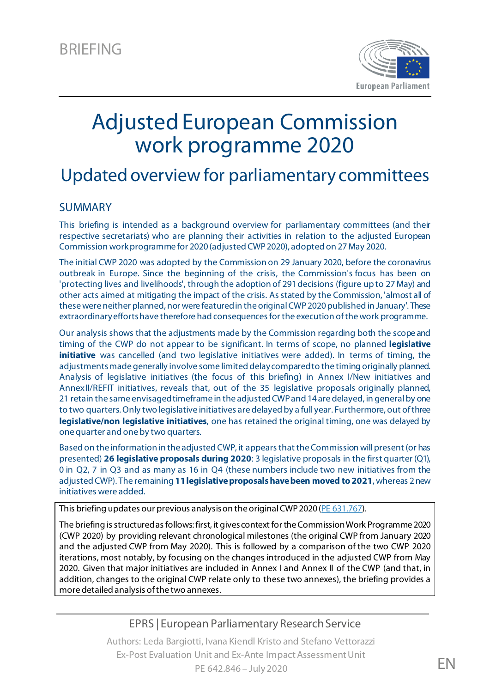

# Adjusted European Commission work programme 2020

# Updated overview for parliamentary committees

### SUMMARY

This briefing is intended as a background overview for parliamentary committees (and their respective secretariats) who are planning their activities in relation to the adjusted European Commission work programme for 2020 (adjusted CWP 2020), adopted on 27May 2020.

The initial CWP 2020 was adopted by the Commission on 29 January 2020, before the coronavirus outbreak in Europe. Since the beginning of the crisis, the Commission's focus has been on 'protecting lives and livelihoods', through the adoption of 291decisions (figure up to 27May) and other acts aimed at mitigating the impact of the crisis. As stated by the Commission, 'almost all of these were neither planned, nor were featured in the original CWP 2020 published in January'. These extraordinary efforts have therefore had consequences for the execution of thework programme.

Our analysis shows that the adjustments made by the Commission regarding both the scope and timing of the CWP do not appear to be significant. In terms of scope, no planned **legislative initiative** was cancelled (and two legislative initiatives were added). In terms of timing, the adjustments made generally involve some limited delay compared to the timing originally planned. Analysis of legislative initiatives (the focus of this briefing) in Annex I/New initiatives and AnnexII/REFIT initiatives, reveals that, out of the 35 legislative proposals originally planned, 21 retain the same envisaged timeframe in the adjusted CWP and 14 are delayed, in general by one to two quarters. Only two legislative initiatives are delayed by a full year. Furthermore, out of three **legislative/non legislative initiatives**, one has retained the original timing, one was delayed by one quarter and one by two quarters.

Based on the information in the adjusted CWP, it appears that the Commission will present (or has presented) **26 legislative proposals during 2020**: 3 legislative proposals in the first quarter (Q1), 0 in Q2, 7 in Q3 and as many as 16 in Q4 (these numbers include two new initiatives from the adjusted CWP). The remaining **11legislative proposals have been moved to 2021**, whereas 2 new initiatives were added.

This briefing updates our previous analysis on the original CWP 2020 [\(PE 631.767\)](https://www.europarl.europa.eu/RegData/etudes/BRIE/2020/631767/EPRS_BRI(2020)631767_EN.pdf).

The briefing is structured as follows: first, it gives context for the Commission Work Programme 2020 (CWP 2020) by providing relevant chronological milestones (the original CWP from January 2020 and the adjusted CWP from May 2020). This is followed by a comparison of the two CWP 2020 iterations, most notably, by focusing on the changes introduced in the adjusted CWP from May 2020. Given that major initiatives are included in Annex I and Annex II of the CWP (and that, in addition, changes to the original CWP relate only to these two annexes), the briefing provides a more detailed analysis of the two annexes.

### EPRS | European Parliamentary Research Service

Authors: Leda Bargiotti, Ivana Kiendl Kristo and Stefano Vettorazzi Ex-Post Evaluation Unit and Ex-Ante Impact Assessment Unit PE 642.846 – July 2020 **EN**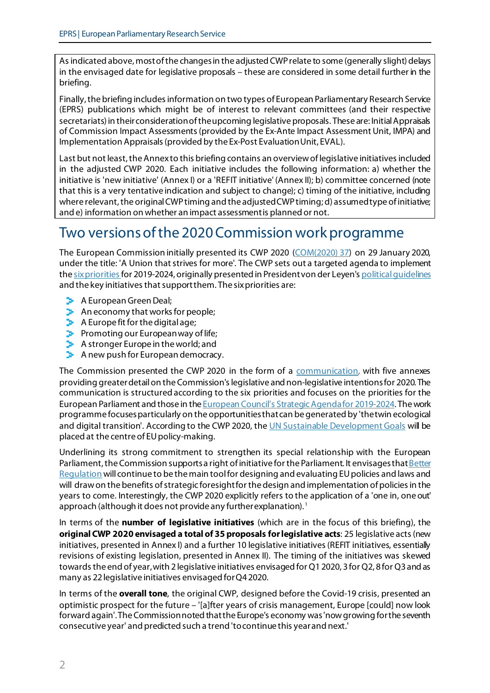As indicated above, most of the changes in the adjusted CWP relate to some (generally slight) delays in the envisaged date for legislative proposals – these are considered in some detail further in the briefing.

Finally, the briefing includes information on two types of European Parliamentary Research Service (EPRS) publications which might be of interest to relevant committees (and their respective secretariats) in their consideration of the upcoming legislative proposals. These are: Initial Appraisals of Commission Impact Assessments (provided by the Ex-Ante Impact Assessment Unit, IMPA) and Implementation Appraisals (provided by the Ex-Post Evaluation Unit, EVAL).

Last but not least, the Annex to this briefing contains an overview of legislative initiatives included in the adjusted CWP 2020. Each initiative includes the following information: a) whether the initiative is 'new initiative' (Annex I) or a 'REFIT initiative' (Annex II); b) committee concerned (note that this is a very tentative indication and subject to change); c) timing of the initiative, including where relevant, the original CWP timing and the adjusted CWP timing; d) assumed type of initiative; and e) information on whether an impact assessment is planned or not.

# Two versions of the 2020 Commission work programme

The European Commission initially presented its CWP 2020 [\(COM\(2020\)](https://eur-lex.europa.eu/legal-content/EN/TXT/?uri=CELEX:52020DC0037) 37) on 29 January 2020, under the title: 'A Union that strives for more'. The CWP sets out a targeted agenda to implement the [six priorities](https://ec.europa.eu/info/strategy/priorities-2019-2024) for 2019-2024, originally presented in President von der Leyen's political quidelines and the key initiatives that support them. The six priorities are:

- **A** European Green Deal;
- $\blacktriangleright$  An economy that works for people;
- $\blacktriangleright$  A Europe fit for the digital age;
- $\blacktriangleright$  Promoting our European way of life;
- **A** stronger Europe in the world; and
- $\blacktriangleright$  A new push for European democracy.

The Commission presented the CWP 2020 in the form of a [communication](https://eur-lex.europa.eu/legal-content/EN/TXT/?uri=CELEX:52020DC0037), with five annexes providing greater detail on the Commission's legislative and non-legislative intentions for 2020. The communication is structured according to the six priorities and focuses on the priorities for the European Parliament and those in the [European Council's Strategic Agenda for 2019-2024.](https://www.consilium.europa.eu/en/eu-strategic-agenda-2019-2024/) The work programme focuses particularly on the opportunities that can be generated by 'the twin ecological and digital transition'. According to the CWP 2020, the UN [Sustainable Development Goals](https://www.un.org/sustainabledevelopment/sustainable-development-goals/) will be placed at the centre of EU policy-making.

Underlining its strong commitment to strengthen its special relationship with the European Parliament, the Commission supports a right of initiative for the Parliament. It envisages that Better [Regulation](https://ec.europa.eu/info/law/law-making-process/planning-and-proposing-law/better-regulation-why-and-how_en) will continue to be the main tool for designing and evaluating EU policies and laws and will draw on the benefits of strategic foresight for the design and implementation of policies in the years to come. Interestingly, the CWP 2020 explicitly refers to the application of a 'one in, one out' approach (although it does not provide any further explanation). [1](#page-12-0)

In terms of the **number of legislative initiatives** (which are in the focus of this briefing), the **original CWP 2020 envisaged a total of 35 proposals for legislative acts**: 25 legislative acts (new initiatives, presented in Annex I) and a further 10 legislative initiatives (REFIT initiatives, essentially revisions of existing legislation, presented in Annex II). The timing of the initiatives was skewed towards the end of year, with 2 legislative initiatives envisaged for Q1 2020, 3 for Q2, 8 for Q3 and as many as 22 legislative initiatives envisaged for Q4 2020.

In terms of the **overall tone**, the original CWP, designed before the Covid-19 crisis, presented an optimistic prospect for the future – '[a]fter years of crisis management, Europe [could] now look forward again'. The Commission noted that the Europe's economy was 'now growing for the seventh consecutive year' and predicted such a trend 'to continue this year and next.'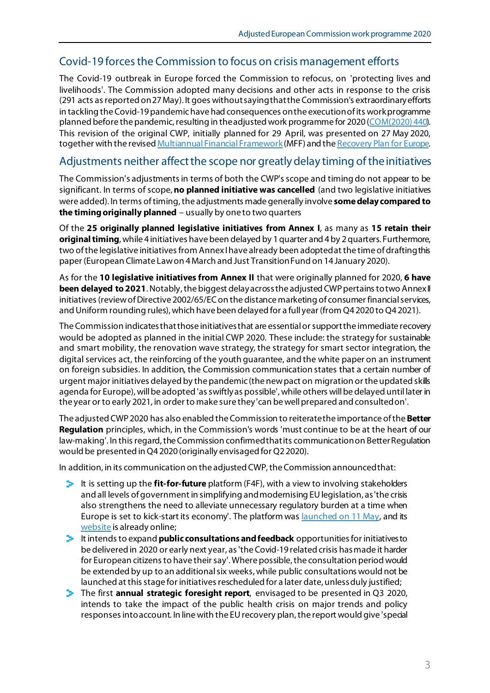## Covid-19 forces the Commission to focus on crisis management efforts

The Covid-19 outbreak in Europe forced the Commission to refocus, on 'protecting lives and livelihoods'. The Commission adopted many decisions and other acts in response to the crisis (291 acts as reported on 27 May). It goes without saying that the Commission's extraordinary efforts in tackling theCovid-19 pandemic have had consequences on the execution of its work programme planned before the pandemic, resulting in the adjusted work programme for 2020 [\(COM\(2020\)](https://ec.europa.eu/info/sites/info/files/cwp-2020-adjusted_en.pdf) 440). This revision of the original CWP, initially planned for 29 April, was presented on 27 May 2020, together with the revise[d Multiannual Financial Framework](https://ec.europa.eu/info/strategy/eu-budget/eu-long-term-budget/2021-2027_en)(MFF) and th[e Recovery Plan](https://ec.europa.eu/info/live-work-travel-eu/health/coronavirus-response/recovery-plan-europe_en) for Europe.

### Adjustments neither affect the scope nor greatly delay timing of the initiatives

The Commission's adjustments in terms of both the CWP's scope and timing do not appear to be significant. In terms of scope, **no planned initiative was cancelled** (and two legislative initiatives were added). In terms oftiming, the adjustments made generally involve **some delay compared to the timing originally planned** – usually by one to two quarters

Of the **25 originally planned legislative initiatives from Annex I**, as many as **15 retain their original timing**, while 4 initiatives have been delayed by 1 quarter and 4 by 2 quarters. Furthermore, two of the legislative initiatives from Annex Ihave already been adopted at the time of drafting this paper (European Climate Law on 4 March and Just Transition Fund on 14 January 2020).

As for the **10 legislative initiatives from Annex II** that were originally planned for 2020, **6 have been delayed to 2021**. Notably, the biggest delay across the adjusted CWP pertains to two Annex II initiatives (review of Directive 2002/65/EC on the distance marketing of consumer financial services, and Uniform rounding rules), which have been delayed for a full year (from Q4 2020 to Q4 2021).

The Commission indicates that those initiatives that are essential or support the immediate recovery would be adopted as planned in the initial CWP 2020. These include: the strategy for sustainable and smart mobility, the renovation wave strategy, the strategy for smart sector integration, the digital services act, the reinforcing of the youth guarantee, and the white paper on an instrument on foreign subsidies. In addition, the Commission communication states that a certain number of urgent major initiatives delayed by the pandemic (the new pact on migration or the updated skills agenda for Europe), will be adopted 'as swiftly as possible', while others will be delayed until later in the year or to early 2021, in order to make sure they 'can be well prepared and consulted on'.

The adjusted CWP 2020 has also enabled the Commission to reiterate the importance of the **Better Regulation** principles, which, in the Commission's words 'must continue to be at the heart of our law-making'. In this regard, the Commission confirmed that its communication on Better Regulation would be presented in Q4 2020 (originally envisaged for Q2 2020).

In addition, in its communication on the adjusted CWP, the Commission announced that:

- It is setting up the **fit-for-future** platform (F4F), with a view to involving stakeholders and all levels of government in simplifying and modernising EU legislation, as 'the crisis also strengthens the need to alleviate unnecessary regulatory burden at a time when Europe is set to kick-start its economy'. The platform wa[s launched on 11 May,](https://ec.europa.eu/commission/presscorner/detail/en/IP_20_832) and its [website](https://ec.europa.eu/info/law/law-making-process/evaluating-and-improving-existing-laws/refit-making-eu-law-simpler-and-less-costly/fit-future-platform-f4f_en) is already online;
- It intends to expand **public consultations and feedback** opportunities for initiatives to be delivered in 2020 or early next year, as 'the Covid-19 related crisis has made it harder for European citizens to have their say'. Where possible, the consultation period would be extended by up to an additional six weeks, while public consultations would not be launched at this stage for initiatives rescheduled for a later date, unless duly justified;
- The first **annual strategic foresight report**, envisaged to be presented in Q3 2020, intends to take the impact of the public health crisis on major trends and policy responses into account. In line with the EU recovery plan, the report would give 'special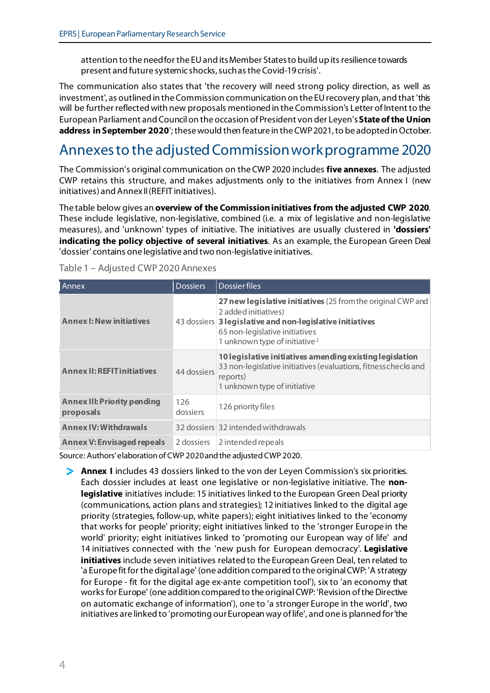attention to the need for the EU and its Member States to build up its resilience towards present and future systemic shocks, such as the Covid-19 crisis'.

The communication also states that 'the recovery will need strong policy direction, as well as investment', as outlined in the Commission communication on the EUrecovery plan, and that 'this will be further reflected with new proposals mentioned in the Commission's Letter of Intent to the European Parliament and Council on the occasion of President von der Leyen's **State of the Union address in September 2020**'; these would then feature in the CWP 2021, to be adopted in October.

# Annexes to the adjusted Commission work programme 2020

The Commission's original communication on the CWP 2020 includes **five annexes**. The adjusted CWP retains this structure, and makes adjustments only to the initiatives from Annex I (new initiatives) and Annex II (REFIT initiatives).

The table below gives an **overview of the Commission initiatives from the adjusted CWP 2020**. These include legislative, non-legislative, combined (i.e. a mix of legislative and non-legislative measures), and 'unknown' types of initiative. The initiatives are usually clustered in **'dossiers' indicating the policy objective of several initiatives**. As an example, the European Green Deal 'dossier' contains one legislative and two non-legislative initiatives.

| Annex                                           | <b>Dossiers</b> | <b>Dossierfiles</b>                                                                                                                                                                                                              |
|-------------------------------------------------|-----------------|----------------------------------------------------------------------------------------------------------------------------------------------------------------------------------------------------------------------------------|
| <b>Annex I: New initiatives</b>                 |                 | 27 new legislative initiatives (25 from the original CWP and<br>2 added initiatives)<br>43 dossiers 3 legislative and non-legislative initiatives<br>65 non-legislative initiatives<br>1 unknown type of initiative <sup>2</sup> |
| <b>Annex II: REFIT initiatives</b>              | 44 dossiers     | 10 legislative initiatives amending existing legislation<br>33 non-legislative initiatives (evaluations, fitness checks and<br>reports)<br>1 unknown type of initiative                                                          |
| <b>Annex III: Priority pending</b><br>proposals | 126<br>dossiers | 126 priority files                                                                                                                                                                                                               |
| <b>Annex IV: Withdrawals</b>                    |                 | 32 dossiers 32 intended withdrawals                                                                                                                                                                                              |
| <b>Annex V: Envisaged repeals</b>               | 2 dossiers      | 2 intended repeals                                                                                                                                                                                                               |

|  | Table 1 - Adjusted CWP 2020 Annexes |
|--|-------------------------------------|
|--|-------------------------------------|

Source: Authors' elaboration of CWP 2020 and the adjusted CWP 2020.

**Annex I** includes 43 dossiers linked to the von der Leyen Commission's six priorities. Each dossier includes at least one legislative or non-legislative initiative. The **nonlegislative** initiatives include: 15 initiatives linked to the European Green Deal priority (communications, action plans and strategies); 12 initiatives linked to the digital age priority (strategies, follow-up, white papers); eight initiatives linked to the 'economy that works for people' priority; eight initiatives linked to the 'stronger Europe in the world' priority; eight initiatives linked to 'promoting our European way of life' and 14 initiatives connected with the 'new push for European democracy'. **Legislative initiatives** include seven initiatives related to the European Green Deal, ten related to 'a Europe fit for the digital age' (one addition compared to the original CWP: 'A strategy for Europe - fit for the digital age ex-ante competition tool'), six to 'an economy that works for Europe' (one addition compared to the original CWP: 'Revision of the Directive on automatic exchange of information'), one to 'a stronger Europe in the world', two initiatives are linked to 'promoting our European way of life', and one is planned for 'the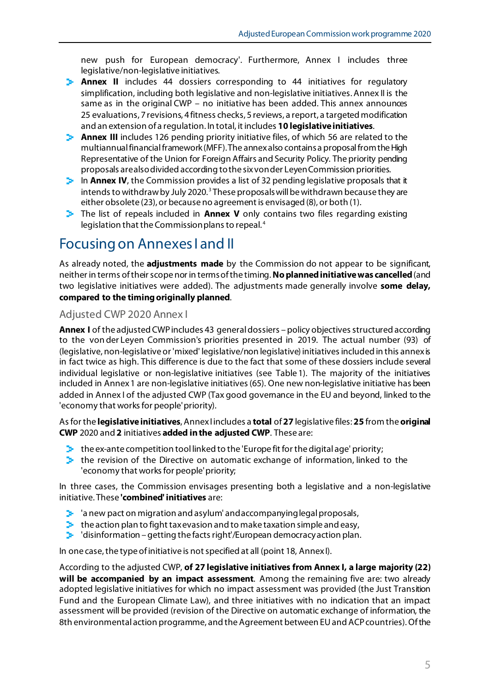new push for European democracy'. Furthermore, Annex I includes three legislative/non-legislative initiatives.

- **Annex II** includes 44 dossiers corresponding to 44 initiatives for regulatory simplification, including both legislative and non-legislative initiatives.Annex II is the same as in the original CWP – no initiative has been added. This annex announces 25 evaluations, 7 revisions, 4 fitness checks, 5 reviews, a report, a targeted modification and an extension of a regulation. In total, it includes **10 legislative initiatives**.
- **Annex III** includes 126 pending priority initiative files, of which 56 are related to the multiannual financial framework (MFF). The annex also contains a proposal fromthe High Representative of the Union for Foreign Affairs and Security Policy. The priority pending proposals are also divided according to the six von der Leyen Commission priorities.
- **In Annex IV**, the Commission provides a list of 32 pending legislative proposals that it intends to withdraw by July 2020. [3](#page-12-2) These proposals will be withdrawn because they are either obsolete (23), or because no agreement is envisaged (8), or both (1).
- The list of repeals included in **Annex V** only contains two files regarding existing legislation that the Commission plans to repeal. [4](#page-12-3)

# Focusing on Annexes I and II

As already noted, the **adjustments made** by the Commission do not appear to be significant, neither in terms of their scope nor in terms of the timing. **No planned initiative was cancelled**(and two legislative initiatives were added). The adjustments made generally involve **some delay, compared to the timing originally planned**.

#### Adjusted CWP 2020 Annex I

**Annex I** of the adjusted CWP includes 43 general dossiers – policy objectives structured according to the von der Leyen Commission's priorities presented in 2019. The actual number (93) of (legislative, non-legislative or 'mixed' legislative/non legislative) initiatives included in this annex is in fact twice as high. This difference is due to the fact that some of these dossiers include several individual legislative or non-legislative initiatives (see Table 1). The majority of the initiatives included in Annex1 are non-legislative initiatives (65). One new non-legislative initiative has been added in Annex I of the adjusted CWP (Tax good governance in the EU and beyond, linked to the 'economy that works for people'priority).

As for the **legislative initiatives**, Annex I includes a **total** of **27** legislative files: **25** from the **original CWP** 2020 and **2** initiatives **added in the adjusted CWP**. These are:

- $\blacktriangleright$  the ex-ante competition tool linked to the 'Europe fit for the digital age' priority;
- $\blacktriangleright$  the revision of the Directive on automatic exchange of information, linked to the 'economy that works for people'priority;

In three cases, the Commission envisages presenting both a legislative and a non-legislative initiative. These **'combined' initiatives** are:

- $\blacktriangleright$  'a new pact on migration and asylum' and accompanying legal proposals,
- $\blacktriangleright$  the action plan to fight tax evasion and to make taxation simple and easy,
- $\blacktriangleright$  'disinformation getting the facts right'/European democracy action plan.

In one case, the type of initiative is not specified at all (point 18, Annex I).

According to the adjusted CWP, **of 27 legislative initiatives from Annex I, a large majority (22) will be accompanied by an impact assessment**. Among the remaining five are: two already adopted legislative initiatives for which no impact assessment was provided (the Just Transition Fund and the European Climate Law), and three initiatives with no indication that an impact assessment will be provided (revision of the Directive on automatic exchange of information, the 8th environmental action programme, and the Agreement between EU and ACP countries). Of the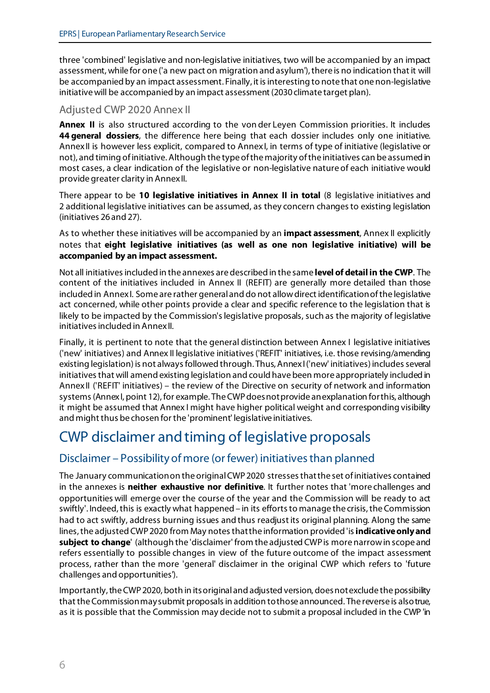three 'combined' legislative and non-legislative initiatives, two will be accompanied by an impact assessment, while for one ('a new pact on migration and asylum'), there is no indication that it will be accompanied by an impact assessment. Finally, it is interesting to note that one non-legislative initiative will be accompanied by an impact assessment (2030 climate target plan).

### Adjusted CWP 2020 Annex II

**Annex II** is also structured according to the von der Leyen Commission priorities. It includes **44 general dossiers**, the difference here being that each dossier includes only one initiative. AnnexII is however less explicit, compared to AnnexI, in terms of type of initiative (legislative or not), and timing of initiative. Although the type of the majority of the initiatives can be assumed in most cases, a clear indication of the legislative or non-legislative nature of each initiative would provide greater clarity in Annex II.

There appear to be **10 legislative initiatives in Annex II in total** (8 legislative initiatives and 2 additional legislative initiatives can be assumed, as they concern changes to existing legislation (initiatives 26 and 27).

As to whether these initiatives will be accompanied by an **impact assessment**, Annex II explicitly notes that **eight legislative initiatives (as well as one non legislative initiative) will be accompanied by an impact assessment.**

Not all initiatives included in the annexes are described in the same **level of detail in the CWP**. The content of the initiatives included in Annex II (REFIT) are generally more detailed than those included in Annex I. Some are rather general and do not allowdirect identification of the legislative act concerned, while other points provide a clear and specific reference to the legislation that is likely to be impacted by the Commission's legislative proposals, such as the majority of legislative initiatives included in Annex II.

Finally, it is pertinent to note that the general distinction between Annex I legislative initiatives ('new' initiatives) and Annex II legislative initiatives ('REFIT' initiatives, i.e. those revising/amending existing legislation) is not always followed through. Thus, Annex I('new' initiatives) includes several initiatives that will amend existing legislation and could have been more appropriately included in AnnexII ('REFIT' initiatives) – the review of the Directive on security of network and information systems (Annex I, point 12), for example. The CWP does not provide an explanation for this, although it might be assumed that Annex I might have higher political weight and corresponding visibility and might thus be chosen for the 'prominent' legislative initiatives.

# CWP disclaimer and timing of legislative proposals

# Disclaimer – Possibility of more (or fewer) initiatives than planned

The January communication on the original CWP 2020 stresses that the set of initiatives contained in the annexes is **neither exhaustive nor definitive**. It further notes that 'more challenges and opportunities will emerge over the course of the year and the Commission will be ready to act swiftly'. Indeed, this is exactly what happened – in its efforts to manage the crisis, the Commission had to act swiftly, address burning issues and thus readjust its original planning. Along the same lines,the adjusted CWP 2020 from May notes thatthe information provided 'is**indicative only and subject to change**' (although the 'disclaimer' from the adjusted CWP is more narrow in scope and refers essentially to possible changes in view of the future outcome of the impact assessment process, rather than the more 'general' disclaimer in the original CWP which refers to 'future challenges and opportunities').

Importantly, the CWP 2020, both in its original and adjusted version, does not exclude the possibility that the Commission may submit proposalsin addition to those announced. The reverse is also true, as it is possible that the Commission may decide not to submit a proposal included in the CWP 'in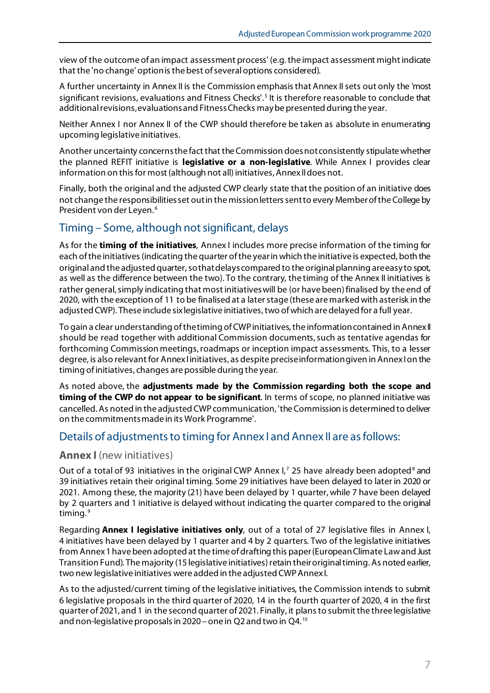view of the outcome of an impact assessment process' (e.g. the impact assessment might indicate that the 'no change' option is the best of several options considered).

A further uncertainty in Annex II is the Commission emphasis that Annex II sets out only the 'most significant revisions, evaluations and Fitness Checks'. [5](#page-12-4) It is therefore reasonable to conclude that additional revisions, evaluations and Fitness Checks may be presented during the year.

Neither Annex I nor Annex II of the CWP should therefore be taken as absolute in enumerating upcoming legislative initiatives.

Another uncertainty concerns the fact that the Commission does not consistently stipulate whether the planned REFIT initiative is **legislative or a non-legislative**. While Annex I provides clear information on this for most (although not all) initiatives, Annex II does not.

Finally, both the original and the adjusted CWP clearly state that the position of an initiative does not change the responsibilities set out in the mission letters sent to every Member of the College by President von der Leyen. [6](#page-12-5)

#### Timing – Some, although not significant, delays

As for the **timing of the initiatives**, Annex I includes more precise information of the timing for each of the initiatives (indicating the quarter of the year in which the initiative is expected, both the original and the adjusted quarter, so that delayscompared to the original planning are easy to spot, as well as the difference between the two). To the contrary, the timing of the Annex II initiatives is rather general, simply indicating that most initiatives will be (or have been) finalised by the end of 2020, with the exception of 11 to be finalised at a later stage (these are marked with asterisk in the adjusted CWP). These include sixlegislative initiatives, two ofwhich are delayed for a full year.

To gain a clear understanding of the timing of CWP initiatives, the information contained in AnnexII should be read together with additional Commission documents, such as tentative agendas for forthcoming Commission meetings, roadmaps or inception impact assessments. This, to a lesser degree, is also relevant for Annex linitiatives, as despite precise information given in Annex I on the timing of initiatives, changes are possible during the year.

As noted above, the **adjustments made by the Commission regarding both the scope and timing of the CWP do not appear to be significant**. In terms of scope, no planned initiative was cancelled. As noted in the adjusted CWP communication, 'the Commission is determined to deliver on the commitments made in its Work Programme'.

#### Details of adjustments to timing for Annex I and Annex II are as follows:

#### **Annex I** (new initiatives)

Out of a total of 93 initiatives in the original CWP Annex I,<sup>[7](#page-12-6)</sup> 25 have already been adopted<sup>[8](#page-12-7)</sup> and 39 initiatives retain their original timing. Some 29 initiatives have been delayed to later in 2020 or 2021. Among these, the majority (21) have been delayed by 1 quarter, while 7 have been delayed by 2 quarters and 1 initiative is delayed without indicating the quarter compared to the original timing. [9](#page-12-8)

Regarding **Annex I legislative initiatives only**, out of a total of 27 legislative files in Annex I, 4 initiatives have been delayed by 1 quarter and 4 by 2 quarters. Two of the legislative initiatives from Annex 1 have been adopted at the time of drafting this paper (European Climate Law and Just Transition Fund). The majority (15 legislative initiatives) retain theiroriginal timing. As noted earlier, two new legislative initiatives were added in the adjusted CWP Annex I.

As to the adjusted/current timing of the legislative initiatives, the Commission intends to submit 6 legislative proposals in the third quarter of 2020, 14 in the fourth quarter of 2020, 4 in the first quarter of 2021, and 1 in the second quarter of 2021. Finally, it plans to submit the three legislative and non-legislative proposals in 2020 – one in Q2 and two in Q4. [10](#page-12-9)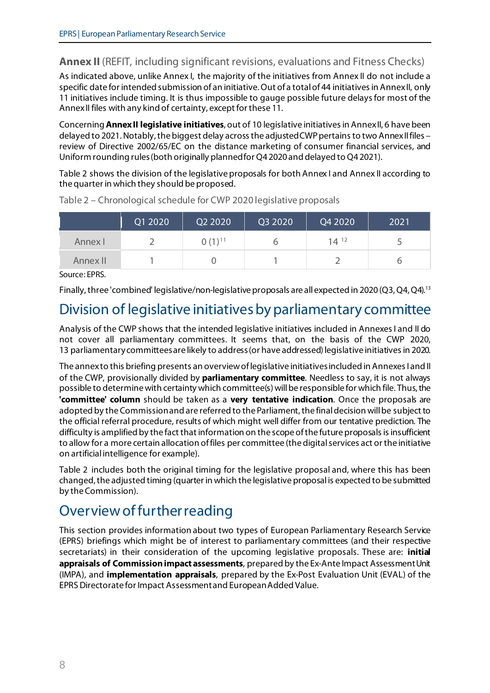# **Annex II** (REFIT, including significant revisions, evaluations and Fitness Checks)

As indicated above, unlike Annex I, the majority of the initiatives from Annex II do not include a specific date for intended submission of an initiative. Out of a total of 44 initiatives in Annex II, only 11 initiatives include timing. It is thus impossible to gauge possible future delaysfor most of the AnnexII files with any kind of certainty, except for these 11.

Concerning**Annex II legislative initiatives**, out of 10 legislative initiatives in Annex II, 6 have been delayed to 2021.Notably, the biggest delay across the adjusted CWP pertains to two Annex II files – review of Directive 2002/65/EC on the distance marketing of consumer financial services, and Uniform rounding rules (both originally planned for Q4 2020 and delayed to Q4 2021).

Table 2 shows the division of the legislative proposals for both Annex I and Annex II according to the quarter in which they should be proposed.

|          | Q1 2020 | Q2 2020     | Q3 2020 | Q4 2020   | 2021 |
|----------|---------|-------------|---------|-----------|------|
| Annex I  |         | $0(1)^{11}$ |         | $14^{12}$ |      |
| Annex II |         |             |         |           |      |

Table 2 – Chronological schedule for CWP 2020 legislative proposals

Source: EPRS.

Finally, three 'combined' legislative/non-legislative proposals are all expected in 2020 (Q3, Q4, Q4).[13](#page-12-12)

# Division of legislative initiatives by parliamentary committee

Analysis of the CWP shows that the intended legislative initiatives included in Annexes I and II do not cover all parliamentary committees. It seems that, on the basis of the CWP 2020, 13 parliamentary committeesare likely to address(or have addressed) legislative initiatives in 2020.

The annex to this briefing presents an overview of legislative initiatives included in Annexes Iand II of the CWP, provisionally divided by **parliamentary committee**. Needless to say, it is not always possible to determine with certainty which committee(s)will be responsible for which file. Thus, the **'committee' column** should be taken as a **very tentative indication**. Once the proposals are adopted by the Commission and are referred to the Parliament, the final decision will be subject to the official referral procedure, results of which might well differ from our tentative prediction. The difficulty is amplified by the fact that information on the scope of the future proposals is insufficient to allow for a more certain allocation of files per committee (the digital services act or the initiative on artificial intelligence for example).

Table 2 includes both the original timing for the legislative proposal and, where this has been changed, the adjusted timing (quarter in which the legislative proposal is expected to be submitted by the Commission).

# Overview of further reading

This section provides information about two types of European Parliamentary Research Service (EPRS) briefings which might be of interest to parliamentary committees (and their respective secretariats) in their consideration of the upcoming legislative proposals. These are: **initial appraisals of Commission impact assessments**, prepared by the Ex-Ante Impact Assessment Unit (IMPA), and **implementation appraisals**, prepared by the Ex-Post Evaluation Unit (EVAL) of the EPRS Directorate for Impact Assessment and European Added Value.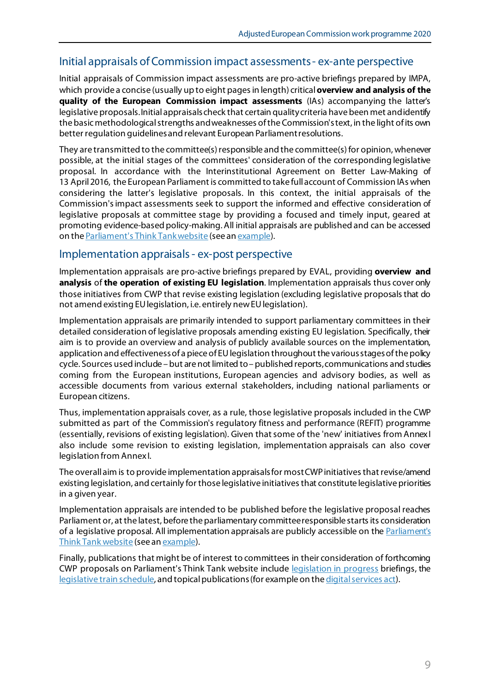### Initial appraisals of Commission impact assessments - ex-ante perspective

Initial appraisals of Commission impact assessments are pro-active briefings prepared by IMPA, which provide a concise (usually up to eight pages in length) critical **overview and analysis of the quality of the European Commission impact assessments** (IAs) accompanying the latter's legislative proposals. Initial appraisals check that certain quality criteria have been met and identify the basic methodological strengths and weaknesses of the Commission's text, in the light of its own better regulation guidelines and relevant European Parliament resolutions.

They are transmitted to the committee(s) responsible and the committee(s) for opinion, whenever possible, at the initial stages of the committees' consideration of the corresponding legislative proposal. In accordance with the Interinstitutional Agreement on Better Law-Making of 13 April2016, the European Parliament is committed to take full account of Commission IAs when considering the latter's legislative proposals. In this context, the initial appraisals of the Commission's impact assessments seek to support the informed and effective consideration of legislative proposals at committee stage by providing a focused and timely input, geared at promoting evidence-based policy-making. All initial appraisals are published and can be accessed on th[e Parliament's Think Tank website](https://www.europarl.europa.eu/thinktank/en/search.html?policyAreas=EXIMAS) (see a[n example\)](https://www.europarl.europa.eu/RegData/etudes/BRIE/2018/615649/EPRS_BRI(2018)615649_EN.pdf).

#### Implementation appraisals - ex-post perspective

Implementation appraisals are pro-active briefings prepared by EVAL, providing **overview and analysis** of **the operation of existing EU legislation**. Implementation appraisals thus cover only those initiatives from CWP that revise existing legislation (excluding legislative proposals that do not amend existing EU legislation, i.e. entirely new EU legislation).

Implementation appraisals are primarily intended to support parliamentary committees in their detailed consideration of legislative proposals amending existing EU legislation. Specifically, their aim is to provide an overview and analysis of publicly available sources on the implementation, application and effectiveness of a piece of EU legislation throughout the various stages of the policy cycle. Sources used include – but are not limited to – published reports, communications and studies coming from the European institutions, European agencies and advisory bodies, as well as accessible documents from various external stakeholders, including national parliaments or European citizens.

Thus, implementation appraisals cover, as a rule, those legislative proposals included in the CWP submitted as part of the Commission's regulatory fitness and performance (REFIT) programme (essentially, revisions of existing legislation). Given that some of the 'new' initiatives from AnnexI also include some revision to existing legislation, implementation appraisals can also cover legislation from Annex I.

The overall aim is to provide implementation appraisals for most CWP initiatives that revise/amend existing legislation, and certainly for those legislative initiatives that constitute legislative priorities in a given year.

Implementation appraisals are intended to be published before the legislative proposal reaches Parliament or, at the latest, before the parliamentary committee responsible starts its consideration of a legislative proposal. All implementation appraisals are publicly accessible on th[e Parliament's](https://www.europarl.europa.eu/thinktank/en/home.html)  [Think Tank website](https://www.europarl.europa.eu/thinktank/en/home.html) (see a[n example\)](https://www.europarl.europa.eu/RegData/etudes/BRIE/2017/603261/EPRS_BRI(2017)603261_EN.pdf).

Finally, publications that might be of interest to committees in their consideration of forthcoming CWP proposals on Parliament's Think Tank website include [legislation in progress](https://epthinktank.eu/eu-legislation-in-progress/) briefings, the [legislative train schedule,](https://www.europarl.europa.eu/legislative-train/) and topical publications (for example on the [digital services act\)](https://www.europarl.europa.eu/RegData/etudes/IDAN/2020/649404/EPRS_IDA(2020)649404_EN.pdf).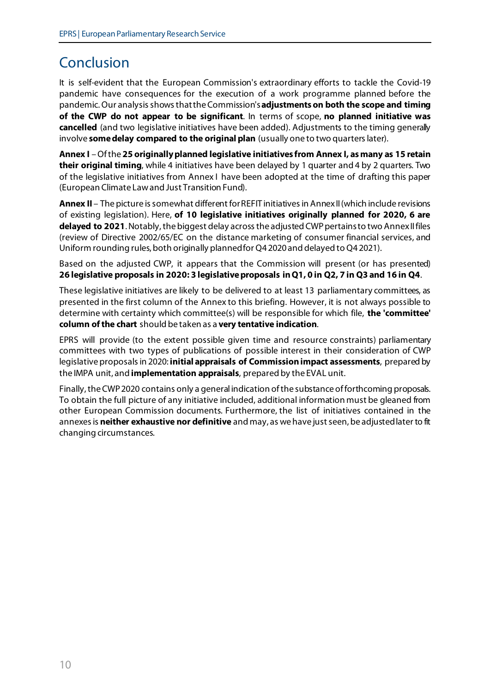# Conclusion

It is self-evident that the European Commission's extraordinary efforts to tackle the Covid-19 pandemic have consequences for the execution of a work programme planned before the pandemic. Our analysis shows that the Commission's **adjustments on both the scope and timing of the CWP do not appear to be significant**. In terms of scope, **no planned initiative was cancelled** (and two legislative initiatives have been added). Adjustments to the timing generally involve **some delay compared to the original plan** (usually one to two quarterslater).

**Annex I** –Of the **25 originally planned legislative initiatives from Annex I, as many as 15 retain their original timing**, while 4 initiatives have been delayed by 1 quarter and 4 by 2 quarters. Two of the legislative initiatives from Annex I have been adopted at the time of drafting this paper (European Climate Law and Just Transition Fund).

**Annex II** – The picture is somewhat different for REFIT initiatives in Annex II (which include revisions of existing legislation). Here, **of 10 legislative initiatives originally planned for 2020, 6 are delayed to 2021**. Notably, the biggest delay across the adjusted CWP pertains to two Annex II files (review of Directive 2002/65/EC on the distance marketing of consumer financial services, and Uniform rounding rules, both originally planned for Q4 2020 and delayed to Q4 2021).

Based on the adjusted CWP, it appears that the Commission will present (or has presented) **26 legislative proposals in 2020: 3 legislative proposals in Q1, 0 in Q2, 7 in Q3 and 16 in Q4**.

These legislative initiatives are likely to be delivered to at least 13 parliamentary committees, as presented in the first column of the Annex to this briefing. However, it is not always possible to determine with certainty which committee(s) will be responsible for which file, **the 'committee' column of the chart** should be taken as a **very tentative indication**.

EPRS will provide (to the extent possible given time and resource constraints) parliamentary committees with two types of publications of possible interest in their consideration of CWP legislative proposals in 2020: **initial appraisals of Commission impact assessments**, prepared by the IMPA unit, and **implementation appraisals**, prepared by the EVAL unit.

Finally, the CWP 2020 contains only a general indication ofthe substance of forthcoming proposals. To obtain the full picture of any initiative included, additional information must be gleaned from other European Commission documents. Furthermore, the list of initiatives contained in the annexes is **neither exhaustive nor definitive** and may, as we have just seen, be adjusted later to fit changing circumstances.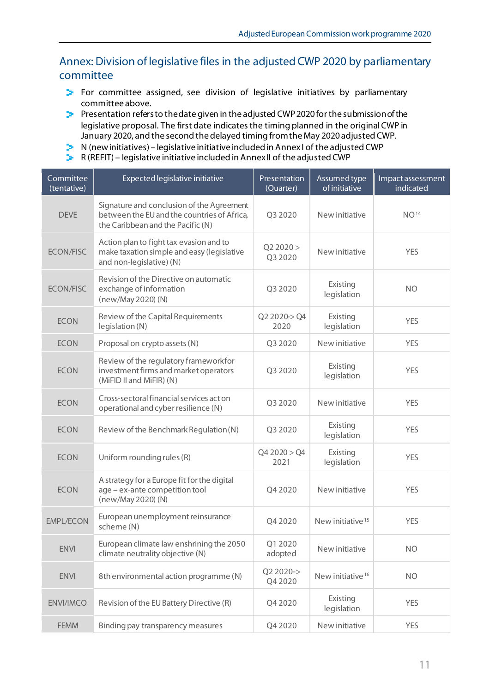## Annex: Division of legislative files in the adjusted CWP 2020 by parliamentary committee

- **For committee assigned, see division of legislative initiatives by parliamentary** committee above.
- **Presentation refers to the date given in the adjusted CWP 2020 for the submission of the** legislative proposal. The first date indicates the timing planned in the original CWP in January 2020, and the second the delayed timing from the May 2020 adjusted CWP.
- $\triangleright$  N (new initiatives) legislative initiative included in Annex I of the adjusted CWP
- $\triangleright$  R (REFIT) legislative initiative included in Annex II of the adjusted CWP

| Committee<br>(tentative) | Expected legislative initiative                                                                                               | Presentation<br>(Quarter) | Assumed type<br>of initiative | Impact assessment<br>indicated |
|--------------------------|-------------------------------------------------------------------------------------------------------------------------------|---------------------------|-------------------------------|--------------------------------|
| <b>DEVE</b>              | Signature and conclusion of the Agreement<br>between the EU and the countries of Africa,<br>the Caribbean and the Pacific (N) | Q3 2020                   | New initiative                | NO <sup>14</sup>               |
| <b>ECON/FISC</b>         | Action plan to fight tax evasion and to<br>make taxation simple and easy (legislative<br>and non-legislative) (N)             | Q22020 ><br>Q3 2020       | New initiative                | <b>YES</b>                     |
| <b>ECON/FISC</b>         | Revision of the Directive on automatic<br>exchange of information<br>(new/May 2020) (N)                                       | Q3 2020                   | Existing<br>legislation       | <b>NO</b>                      |
| <b>ECON</b>              | Review of the Capital Requirements<br>legislation (N)                                                                         | Q2 2020-> Q4<br>2020      | Existing<br>legislation       | <b>YES</b>                     |
| <b>ECON</b>              | Proposal on crypto assets (N)                                                                                                 | Q3 2020                   | New initiative                | <b>YES</b>                     |
| <b>ECON</b>              | Review of the regulatory frameworkfor<br>investment firms and market operators<br>(MiFID II and MiFIR) (N)                    | Q3 2020                   | Existing<br>legislation       | <b>YES</b>                     |
| <b>ECON</b>              | Cross-sectoral financial services act on<br>operational and cyber resilience (N)                                              | Q3 2020                   | New initiative                | <b>YES</b>                     |
| <b>ECON</b>              | Review of the Benchmark Regulation (N)                                                                                        | Q3 2020                   | Existing<br>legislation       | <b>YES</b>                     |
| <b>ECON</b>              | Uniform rounding rules (R)                                                                                                    | Q42020 > Q4<br>2021       | Existing<br>legislation       | <b>YES</b>                     |
| <b>ECON</b>              | A strategy for a Europe fit for the digital<br>age - ex-ante competition tool<br>(new/May 2020) (N)                           | Q4 2020                   | New initiative                | <b>YES</b>                     |
| <b>EMPL/ECON</b>         | European unemployment reinsurance<br>scheme (N)                                                                               | Q4 2020                   | New initiative <sup>15</sup>  | <b>YES</b>                     |
| <b>ENVI</b>              | European climate law enshrining the 2050<br>climate neutrality objective (N)                                                  | Q1 2020<br>adopted        | New initiative                | <b>NO</b>                      |
| <b>ENVI</b>              | 8th environmental action programme (N)                                                                                        | Q2 2020-><br>Q4 2020      | New initiative <sup>16</sup>  | <b>NO</b>                      |
| <b>ENVI/IMCO</b>         | Revision of the EU Battery Directive (R)                                                                                      | Q4 2020                   | Existing<br>legislation       | <b>YES</b>                     |
| <b>FEMM</b>              | Binding pay transparency measures                                                                                             | Q4 2020                   | New initiative                | <b>YES</b>                     |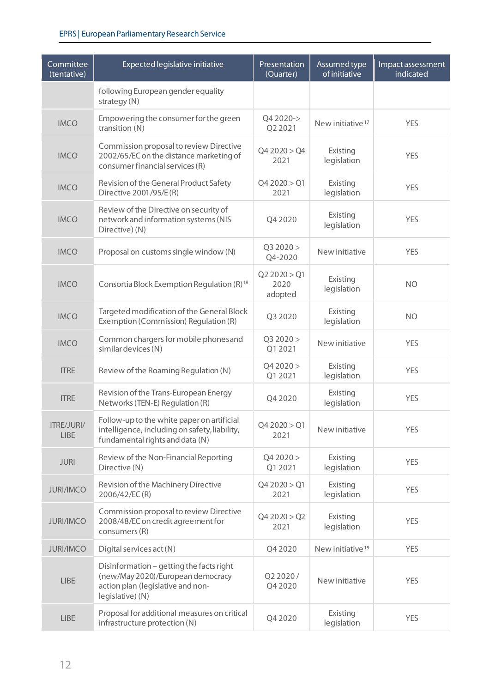| Committee<br>(tentative)  | Expected legislative initiative                                                                                                        | Presentation<br>(Quarter)       | Assumed type<br>of initiative | Impact assessment<br>indicated |
|---------------------------|----------------------------------------------------------------------------------------------------------------------------------------|---------------------------------|-------------------------------|--------------------------------|
|                           | following European gender equality<br>strategy (N)                                                                                     |                                 |                               |                                |
| <b>IMCO</b>               | Empowering the consumer for the green<br>transition (N)                                                                                | Q4 2020-><br>Q2 2021            | New initiative <sup>17</sup>  | <b>YES</b>                     |
| <b>IMCO</b>               | Commission proposal to review Directive<br>2002/65/EC on the distance marketing of<br>consumer financial services (R)                  | Q42020 > Q4<br>2021             | Existing<br>legislation       | <b>YES</b>                     |
| <b>IMCO</b>               | Revision of the General Product Safety<br>Directive 2001/95/E(R)                                                                       | Q42020 > Q1<br>2021             | Existing<br>legislation       | <b>YES</b>                     |
| <b>IMCO</b>               | Review of the Directive on security of<br>network and information systems (NIS<br>Directive) (N)                                       | Q4 2020                         | Existing<br>legislation       | <b>YES</b>                     |
| <b>IMCO</b>               | Proposal on customs single window (N)                                                                                                  | Q3 2020 ><br>Q4-2020            | New initiative                | <b>YES</b>                     |
| <b>IMCO</b>               | Consortia Block Exemption Regulation (R) <sup>18</sup>                                                                                 | Q2 2020 > Q1<br>2020<br>adopted | Existing<br>legislation       | <b>NO</b>                      |
| <b>IMCO</b>               | Targeted modification of the General Block<br>Exemption (Commission) Regulation (R)                                                    | Q3 2020                         | Existing<br>legislation       | <b>NO</b>                      |
| <b>IMCO</b>               | Common chargers for mobile phones and<br>similar devices (N)                                                                           | Q3 2020 ><br>Q1 2021            | New initiative                | <b>YES</b>                     |
| <b>ITRE</b>               | Review of the Roaming Regulation (N)                                                                                                   | Q42020 ><br>Q1 2021             | Existing<br>legislation       | <b>YES</b>                     |
| <b>ITRE</b>               | Revision of the Trans-European Energy<br>Networks (TEN-E) Regulation (R)                                                               | Q4 2020                         | Existing<br>legislation       | <b>YES</b>                     |
| ITRE/JURI/<br><b>LIBE</b> | Follow-up to the white paper on artificial<br>intelligence, including on safety, liability,<br>fundamental rights and data (N)         | Q4 2020 > Q1<br>2021            | New initiative                | <b>YES</b>                     |
| <b>JURI</b>               | Review of the Non-Financial Reporting<br>Directive (N)                                                                                 | Q42020 ><br>Q1 2021             | Existing<br>legislation       | <b>YES</b>                     |
| <b>JURI/IMCO</b>          | Revision of the Machinery Directive<br>2006/42/EC(R)                                                                                   | Q42020 > Q1<br>2021             | Existing<br>legislation       | <b>YES</b>                     |
| <b>JURI/IMCO</b>          | Commission proposal to review Directive<br>2008/48/EC on credit agreement for<br>consumers (R)                                         | Q42020 > Q2<br>2021             | Existing<br>legislation       | <b>YES</b>                     |
| <b>JURI/IMCO</b>          | Digital services act (N)                                                                                                               | Q4 2020                         | New initiative <sup>19</sup>  | <b>YES</b>                     |
| <b>LIBE</b>               | Disinformation - getting the facts right<br>(new/May 2020)/European democracy<br>action plan (legislative and non-<br>legislative) (N) | Q2 2020/<br>Q4 2020             | New initiative                | <b>YES</b>                     |
| <b>LIBE</b>               | Proposal for additional measures on critical<br>infrastructure protection (N)                                                          | Q4 2020                         | Existing<br>legislation       | <b>YES</b>                     |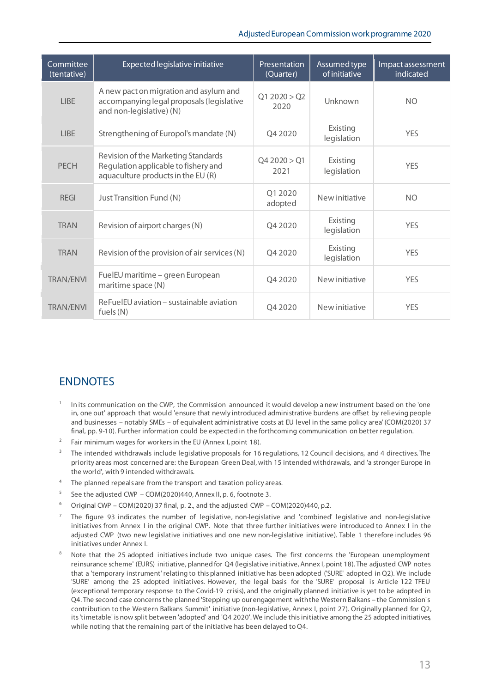#### Adjusted European Commission work programme 2020

<span id="page-12-15"></span><span id="page-12-14"></span><span id="page-12-13"></span><span id="page-12-12"></span><span id="page-12-11"></span><span id="page-12-10"></span><span id="page-12-9"></span><span id="page-12-8"></span>

| Committee<br>(tentative) | Expected legislative initiative                                                                                   | <b>Presentation</b><br>(Quarter) | Assumed type<br>of initiative | Impact assessment<br>indicated |
|--------------------------|-------------------------------------------------------------------------------------------------------------------|----------------------------------|-------------------------------|--------------------------------|
| <b>LIBE</b>              | A new pact on migration and asylum and<br>accompanying legal proposals (legislative<br>and non-legislative) (N)   | Q1 2020 > Q2<br>2020             | Unknown                       | <b>NO</b>                      |
| <b>LIBE</b>              | Strengthening of Europol's mandate (N)                                                                            | Q4 2020                          | Existing<br>legislation       | <b>YFS</b>                     |
| <b>PECH</b>              | Revision of the Marketing Standards<br>Regulation applicable to fishery and<br>aquaculture products in the EU (R) | Q4 2020 > Q1<br>2021             | Existing<br>legislation       | <b>YFS</b>                     |
| <b>REGI</b>              | Just Transition Fund (N)                                                                                          | 01 20 20<br>adopted              | New initiative                | <b>NO</b>                      |
| <b>TRAN</b>              | Revision of airport charges (N)                                                                                   | Q4 2020                          | Existing<br>legislation       | <b>YFS</b>                     |
| <b>TRAN</b>              | Revision of the provision of air services (N)                                                                     | O <sub>4</sub> 2020              | Existing<br>legislation       | <b>YES</b>                     |
| <b>TRAN/ENVI</b>         | FuelEU maritime - green European<br>maritime space (N)                                                            | Q4 2020                          | New initiative                | <b>YFS</b>                     |
| <b>TRAN/ENVI</b>         | ReFuelEU aviation – sustainable aviation<br>fuels $(N)$                                                           | O4 2020                          | New initiative                | <b>YES</b>                     |

### <span id="page-12-18"></span><span id="page-12-17"></span><span id="page-12-16"></span>**ENDNOTES**

- <span id="page-12-0"></span>In its communication on the CWP, the Commission announced it would develop a new instrument based on the 'one in, one out' approach that would 'ensure that newly introduced administrative burdens are offset by relieving people and businesses – notably SMEs – of equivalent administrative costs at EU level in the same policy area' (COM(2020) 37 final, pp. 9-10). Further information could be expected in the forthcoming communication on better regulation.
- <span id="page-12-1"></span><sup>2</sup> Fair minimum wages for workers in the EU (Annex I, point 18).
- <span id="page-12-2"></span><sup>3</sup> The intended withdrawals include legislative proposals for 16 regulations, 12 Council decisions, and 4 directives. The priority areas most concerned are: the European Green Deal, with 15 intended withdrawals, and 'a stronger Europe in the world', with 9 intended withdrawals.
- <span id="page-12-3"></span><sup>4</sup> The planned repeals are from the transport and taxation policy areas.
- <span id="page-12-4"></span><sup>5</sup> See the adjusted CWP – COM(2020)440, Annex II, p. 6, footnote 3.
- <span id="page-12-5"></span><sup>6</sup> Original CWP – COM(2020) 37 final, p. 2., and the adjusted CWP – COM(2020)440, p.2.
- <span id="page-12-6"></span> $<sup>7</sup>$  The figure 93 indicates the number of legislative, non-legislative and 'combined' legislative and non-legislative</sup> initiatives from Annex I in the original CWP. Note that three further initiatives were introduced to Annex I in the adjusted CWP (two new legislative initiatives and one new non-legislative initiative). Table 1 therefore includes 96 initiatives under Annex I.
- <span id="page-12-7"></span>Note that the 25 adopted initiatives include two unique cases. The first concerns the 'European unemployment reinsurance scheme' (EURS) initiative, planned for Q4 (legislative initiative, Annex I, point 18). The adjusted CWP notes that a 'temporary instrument' relating to this planned initiative has been adopted ('SURE' adopted in Q2). We include 'SURE' among the 25 adopted initiatives. However, the legal basis for the 'SURE' proposal is Article 122 TFEU (exceptional temporary response to the Covid-19 crisis), and the originally planned initiative is yet to be adopted in Q4. The second case concerns the planned 'Stepping up our engagement with the Western Balkans – the Commission's contribution to the Western Balkans Summit' initiative (non-legislative, Annex I, point 27). Originally planned for Q2, its 'timetable' is now split between 'adopted' and 'Q4 2020'. We include this initiative among the 25 adopted initiatives, while noting that the remaining part of the initiative has been delayed to Q4.